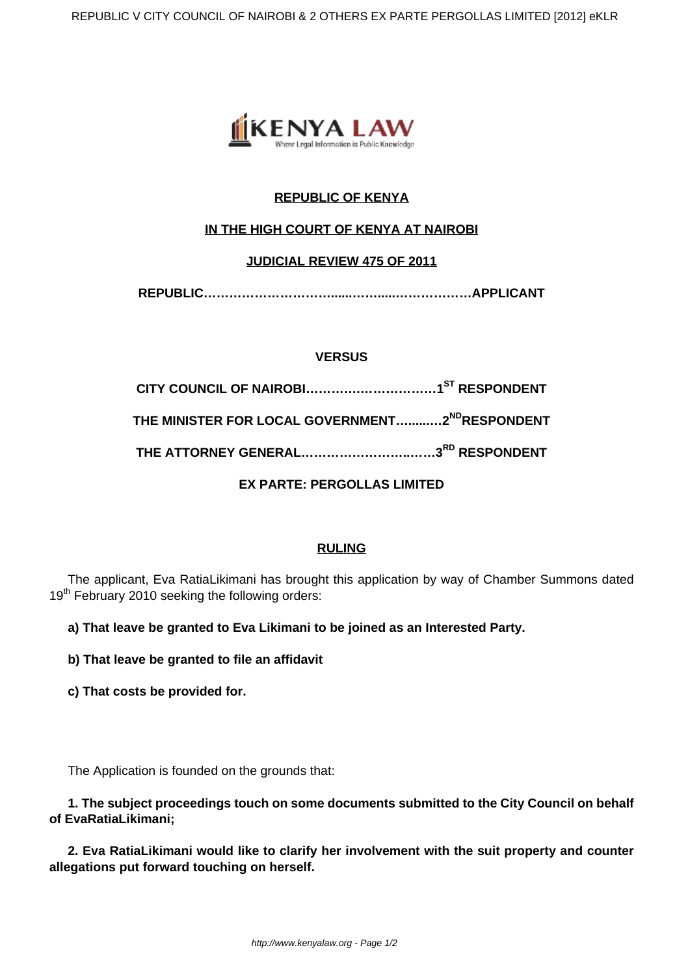

# **REPUBLIC OF KENYA**

# **IN THE HIGH COURT OF KENYA AT NAIROBI**

### **JUDICIAL REVIEW 475 OF 2011**

**REPUBLIC…………………………......…….....………………APPLICANT**

## **VERSUS**

| THE MINISTER FOR LOCAL GOVERNMENT…2 <sup>ND</sup> RESPONDENT |  |
|--------------------------------------------------------------|--|
|                                                              |  |
|                                                              |  |

# **EX PARTE: PERGOLLAS LIMITED**

### **RULING**

The applicant, Eva RatiaLikimani has brought this application by way of Chamber Summons dated 19<sup>th</sup> February 2010 seeking the following orders:

**a) That leave be granted to Eva Likimani to be joined as an Interested Party.**

**b) That leave be granted to file an affidavit**

**c) That costs be provided for.**

The Application is founded on the grounds that:

**1. The subject proceedings touch on some documents submitted to the City Council on behalf of EvaRatiaLikimani;**

**2. Eva RatiaLikimani would like to clarify her involvement with the suit property and counter allegations put forward touching on herself.**